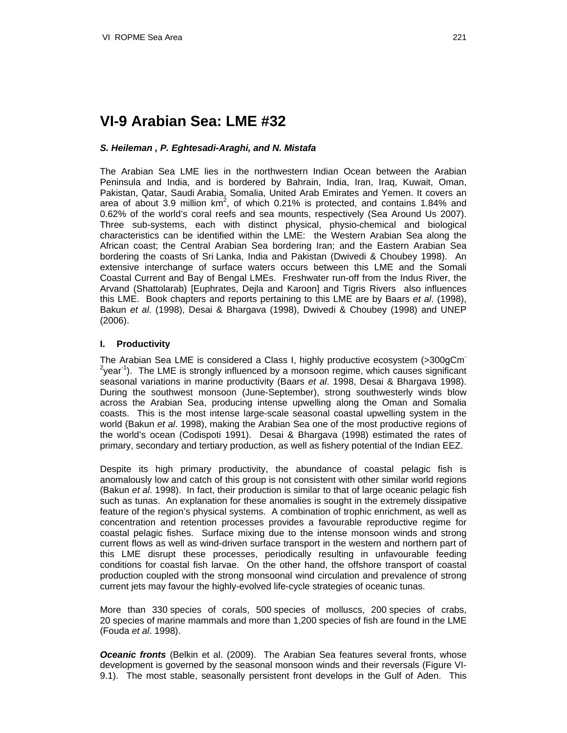# **VI-9 Arabian Sea: LME #32**

# *S. Heileman , P. Eghtesadi-Araghi, and N. Mistafa*

The Arabian Sea LME lies in the northwestern Indian Ocean between the Arabian Peninsula and India, and is bordered by Bahrain, India, Iran, Iraq, Kuwait, Oman, Pakistan, Qatar, Saudi Arabia, Somalia, United Arab Emirates and Yemen. It covers an area of about 3.9 million  $km^2$ , of which 0.21% is protected, and contains 1.84% and 0.62% of the world's coral reefs and sea mounts, respectively (Sea Around Us 2007). Three sub-systems, each with distinct physical, physio-chemical and biological characteristics can be identified within the LME: the Western Arabian Sea along the African coast; the Central Arabian Sea bordering Iran; and the Eastern Arabian Sea bordering the coasts of Sri Lanka, India and Pakistan (Dwivedi & Choubey 1998). An extensive interchange of surface waters occurs between this LME and the Somali Coastal Current and Bay of Bengal LMEs. Freshwater run-off from the Indus River, the Arvand (Shattolarab) [Euphrates, Dejla and Karoon] and Tigris Rivers also influences this LME. Book chapters and reports pertaining to this LME are by Baars *et al*. (1998), Bakun *et al*. (1998), Desai & Bhargava (1998), Dwivedi & Choubey (1998) and UNEP (2006).

## **I. Productivity**

The Arabian Sea LME is considered a Class I, highly productive ecosystem (>300gCm- $2$ year<sup>-1</sup>). The LME is strongly influenced by a monsoon regime, which causes significant seasonal variations in marine productivity (Baars *et al*. 1998, Desai & Bhargava 1998). During the southwest monsoon (June-September), strong southwesterly winds blow across the Arabian Sea, producing intense upwelling along the Oman and Somalia coasts. This is the most intense large-scale seasonal coastal upwelling system in the world (Bakun *et al*. 1998), making the Arabian Sea one of the most productive regions of the world's ocean (Codispoti 1991). Desai & Bhargava (1998) estimated the rates of primary, secondary and tertiary production, as well as fishery potential of the Indian EEZ.

Despite its high primary productivity, the abundance of coastal pelagic fish is anomalously low and catch of this group is not consistent with other similar world regions (Bakun *et al*. 1998). In fact, their production is similar to that of large oceanic pelagic fish such as tunas. An explanation for these anomalies is sought in the extremely dissipative feature of the region's physical systems. A combination of trophic enrichment, as well as concentration and retention processes provides a favourable reproductive regime for coastal pelagic fishes. Surface mixing due to the intense monsoon winds and strong current flows as well as wind-driven surface transport in the western and northern part of this LME disrupt these processes, periodically resulting in unfavourable feeding conditions for coastal fish larvae. On the other hand, the offshore transport of coastal production coupled with the strong monsoonal wind circulation and prevalence of strong current jets may favour the highly-evolved life-cycle strategies of oceanic tunas.

More than 330 species of corals, 500 species of molluscs, 200 species of crabs, 20 species of marine mammals and more than 1,200 species of fish are found in the LME (Fouda *et al*. 1998).

*Oceanic fronts* (Belkin et al. (2009). The Arabian Sea features several fronts, whose development is governed by the seasonal monsoon winds and their reversals (Figure VI-9.1). The most stable, seasonally persistent front develops in the Gulf of Aden. This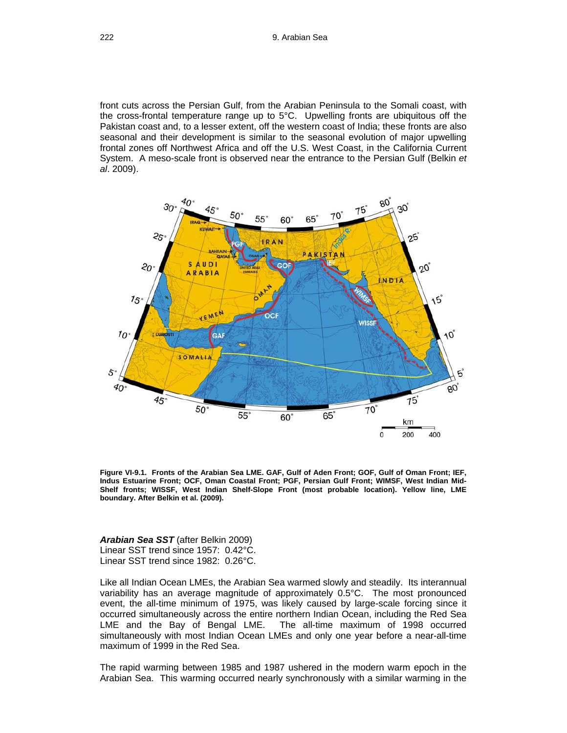front cuts across the Persian Gulf, from the Arabian Peninsula to the Somali coast, with the cross-frontal temperature range up to 5°C. Upwelling fronts are ubiquitous off the Pakistan coast and, to a lesser extent, off the western coast of India; these fronts are also seasonal and their development is similar to the seasonal evolution of major upwelling frontal zones off Northwest Africa and off the U.S. West Coast, in the California Current System. A meso-scale front is observed near the entrance to the Persian Gulf (Belkin *et al*. 2009).



**Figure VI-9.1. Fronts of the Arabian Sea LME. GAF, Gulf of Aden Front; GOF, Gulf of Oman Front; IEF, Indus Estuarine Front; OCF, Oman Coastal Front; PGF, Persian Gulf Front; WIMSF, West Indian Mid-Shelf fronts; WISSF, West Indian Shelf-Slope Front (most probable location). Yellow line, LME boundary. After Belkin et al. (2009).** 

#### *Arabian Sea SST* (after Belkin 2009) Linear SST trend since 1957: 0.42°C. Linear SST trend since 1982: 0.26°C.

Like all Indian Ocean LMEs, the Arabian Sea warmed slowly and steadily. Its interannual variability has an average magnitude of approximately 0.5°C. The most pronounced event, the all-time minimum of 1975, was likely caused by large-scale forcing since it occurred simultaneously across the entire northern Indian Ocean, including the Red Sea LME and the Bay of Bengal LME. The all-time maximum of 1998 occurred simultaneously with most Indian Ocean LMEs and only one year before a near-all-time maximum of 1999 in the Red Sea.

The rapid warming between 1985 and 1987 ushered in the modern warm epoch in the Arabian Sea. This warming occurred nearly synchronously with a similar warming in the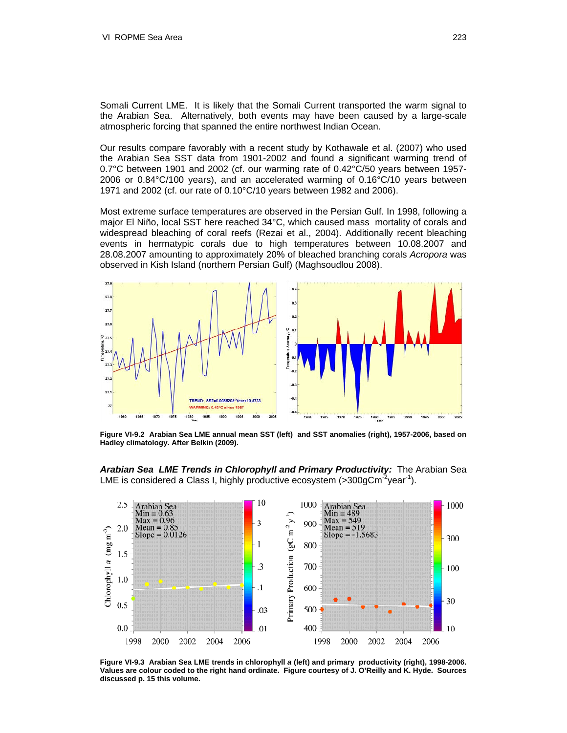Somali Current LME. It is likely that the Somali Current transported the warm signal to the Arabian Sea. Alternatively, both events may have been caused by a large-scale atmospheric forcing that spanned the entire northwest Indian Ocean.

Our results compare favorably with a recent study by Kothawale et al. (2007) who used the Arabian Sea SST data from 1901-2002 and found a significant warming trend of 0.7°C between 1901 and 2002 (cf. our warming rate of 0.42°C/50 years between 1957- 2006 or 0.84°C/100 years), and an accelerated warming of 0.16°C/10 years between 1971 and 2002 (cf. our rate of 0.10°C/10 years between 1982 and 2006).

Most extreme surface temperatures are observed in the Persian Gulf. In 1998, following a major El Niño, local SST here reached 34°C, which caused mass mortality of corals and widespread bleaching of coral reefs (Rezai et al., 2004). Additionally recent bleaching events in hermatypic corals due to high temperatures between 10.08.2007 and 28.08.2007 amounting to approximately 20% of bleached branching corals *Acropora* was observed in Kish Island (northern Persian Gulf) (Maghsoudlou 2008).



**Figure VI-9.2 Arabian Sea LME annual mean SST (left) and SST anomalies (right), 1957-2006, based on Hadley climatology. After Belkin (2009).** 

*Arabian Sea LME Trends in Chlorophyll and Primary Productivity:* The Arabian Sea LME is considered a Class I, highly productive ecosystem  $(>300$ gCm<sup>-2</sup>year<sup>-1</sup>).



**Figure VI-9.3 Arabian Sea LME trends in chlorophyll** *a* **(left) and primary productivity (right), 1998-2006. Values are colour coded to the right hand ordinate. Figure courtesy of J. O'Reilly and K. Hyde. Sources discussed p. 15 this volume.**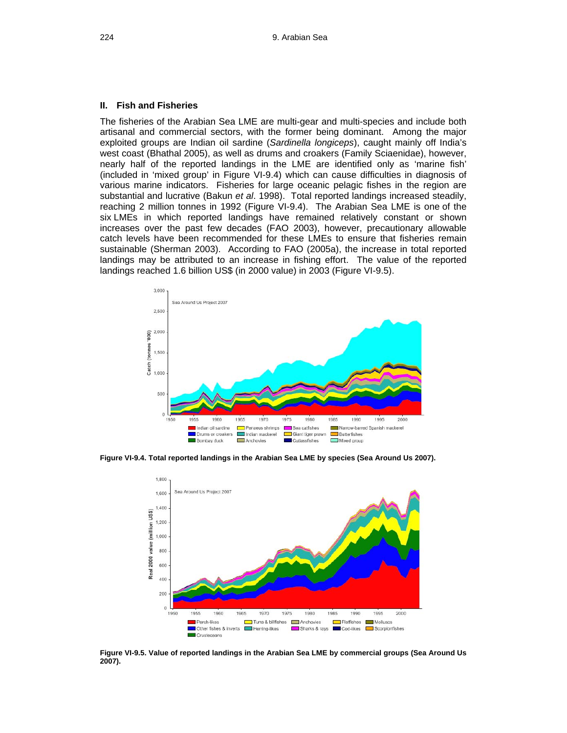#### **II. Fish and Fisheries**

The fisheries of the Arabian Sea LME are multi-gear and multi-species and include both artisanal and commercial sectors, with the former being dominant. Among the major exploited groups are Indian oil sardine (*Sardinella longiceps*), caught mainly off India's west coast (Bhathal 2005), as well as drums and croakers (Family Sciaenidae), however, nearly half of the reported landings in the LME are identified only as 'marine fish' (included in 'mixed group' in Figure VI-9.4) which can cause difficulties in diagnosis of various marine indicators. Fisheries for large oceanic pelagic fishes in the region are substantial and lucrative (Bakun *et al*. 1998). Total reported landings increased steadily, reaching 2 million tonnes in 1992 (Figure VI-9.4). The Arabian Sea LME is one of the six LMEs in which reported landings have remained relatively constant or shown increases over the past few decades (FAO 2003), however, precautionary allowable catch levels have been recommended for these LMEs to ensure that fisheries remain sustainable (Sherman 2003). According to FAO (2005a), the increase in total reported landings may be attributed to an increase in fishing effort. The value of the reported landings reached 1.6 billion US\$ (in 2000 value) in 2003 (Figure VI-9.5).



**Figure VI-9.4. Total reported landings in the Arabian Sea LME by species (Sea Around Us 2007).** 



**Figure VI-9.5. Value of reported landings in the Arabian Sea LME by commercial groups (Sea Around Us 2007).**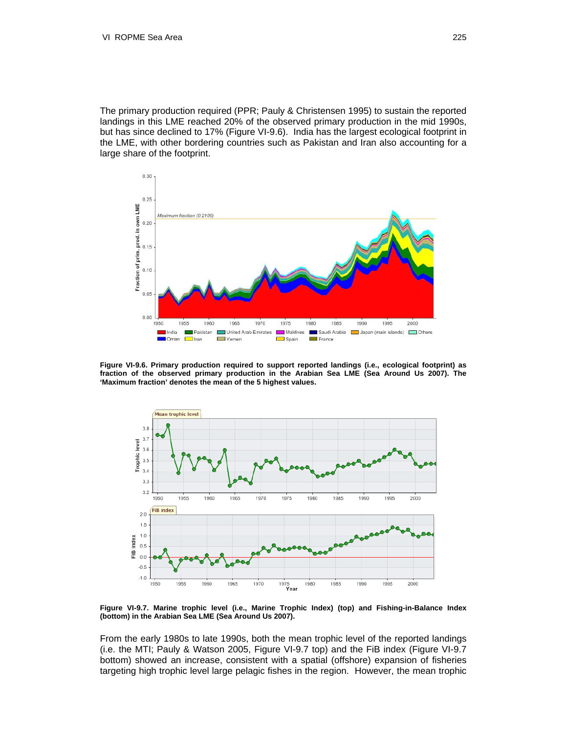The primary production required (PPR; Pauly & Christensen 1995) to sustain the reported landings in this LME reached 20% of the observed primary production in the mid 1990s, but has since declined to 17% (Figure VI-9.6). India has the largest ecological footprint in the LME, with other bordering countries such as Pakistan and Iran also accounting for a large share of the footprint.



**Figure VI-9.6. Primary production required to support reported landings (i.e., ecological footprint) as fraction of the observed primary production in the Arabian Sea LME (Sea Around Us 2007). The 'Maximum fraction' denotes the mean of the 5 highest values.** 



**Figure VI-9.7. Marine trophic level (i.e., Marine Trophic Index) (top) and Fishing-in-Balance Index (bottom) in the Arabian Sea LME (Sea Around Us 2007).** 

From the early 1980s to late 1990s, both the mean trophic level of the reported landings (i.e. the MTI; Pauly & Watson 2005, Figure VI-9.7 top) and the FiB index (Figure VI-9.7 bottom) showed an increase, consistent with a spatial (offshore) expansion of fisheries targeting high trophic level large pelagic fishes in the region. However, the mean trophic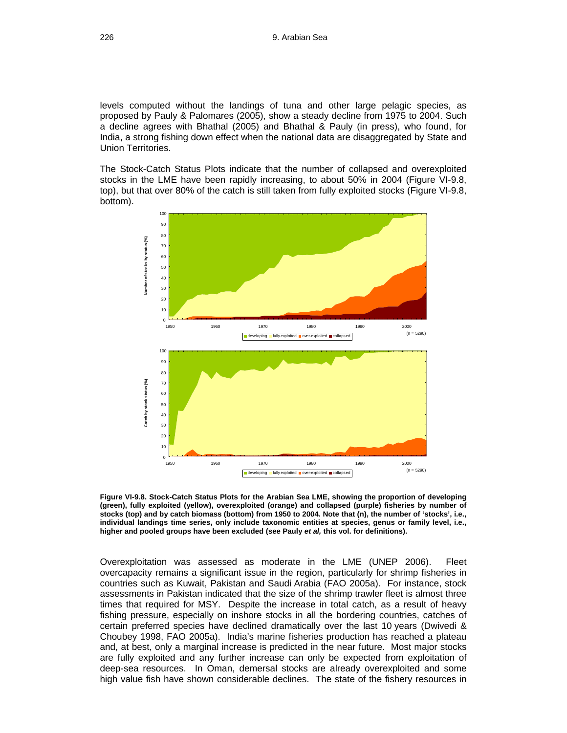levels computed without the landings of tuna and other large pelagic species, as proposed by Pauly & Palomares (2005), show a steady decline from 1975 to 2004. Such a decline agrees with Bhathal (2005) and Bhathal & Pauly (in press), who found, for India, a strong fishing down effect when the national data are disaggregated by State and Union Territories.

The Stock-Catch Status Plots indicate that the number of collapsed and overexploited stocks in the LME have been rapidly increasing, to about 50% in 2004 (Figure VI-9.8, top), but that over 80% of the catch is still taken from fully exploited stocks (Figure VI-9.8, bottom).



**Figure VI-9.8. Stock-Catch Status Plots for the Arabian Sea LME, showing the proportion of developing (green), fully exploited (yellow), overexploited (orange) and collapsed (purple) fisheries by number of stocks (top) and by catch biomass (bottom) from 1950 to 2004. Note that (n), the number of 'stocks', i.e., individual landings time series, only include taxonomic entities at species, genus or family level, i.e., higher and pooled groups have been excluded (see Pauly** *et al,* **this vol. for definitions).** 

Overexploitation was assessed as moderate in the LME (UNEP 2006). Fleet overcapacity remains a significant issue in the region, particularly for shrimp fisheries in countries such as Kuwait, Pakistan and Saudi Arabia (FAO 2005a). For instance, stock assessments in Pakistan indicated that the size of the shrimp trawler fleet is almost three times that required for MSY. Despite the increase in total catch, as a result of heavy fishing pressure, especially on inshore stocks in all the bordering countries, catches of certain preferred species have declined dramatically over the last 10 years (Dwivedi & Choubey 1998, FAO 2005a). India's marine fisheries production has reached a plateau and, at best, only a marginal increase is predicted in the near future. Most major stocks are fully exploited and any further increase can only be expected from exploitation of deep-sea resources. In Oman, demersal stocks are already overexploited and some high value fish have shown considerable declines. The state of the fishery resources in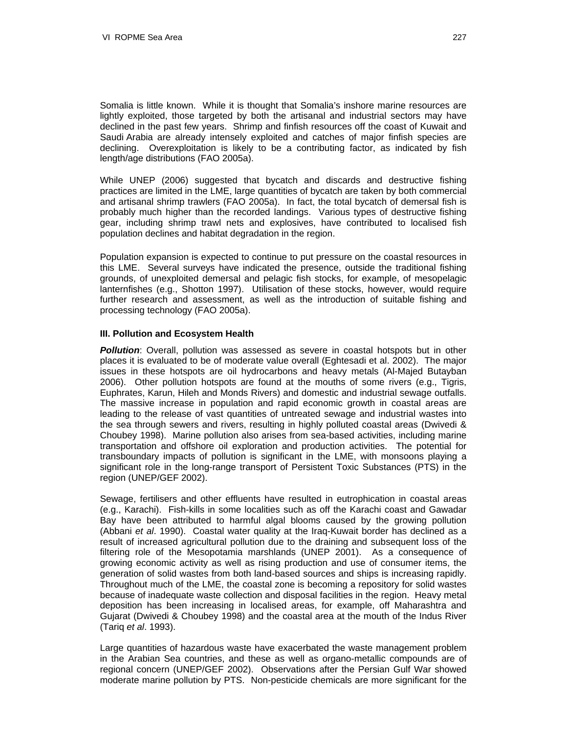Somalia is little known. While it is thought that Somalia's inshore marine resources are lightly exploited, those targeted by both the artisanal and industrial sectors may have declined in the past few years. Shrimp and finfish resources off the coast of Kuwait and Saudi Arabia are already intensely exploited and catches of major finfish species are declining. Overexploitation is likely to be a contributing factor, as indicated by fish length/age distributions (FAO 2005a).

While UNEP (2006) suggested that bycatch and discards and destructive fishing practices are limited in the LME, large quantities of bycatch are taken by both commercial and artisanal shrimp trawlers (FAO 2005a). In fact, the total bycatch of demersal fish is probably much higher than the recorded landings. Various types of destructive fishing gear, including shrimp trawl nets and explosives, have contributed to localised fish population declines and habitat degradation in the region.

Population expansion is expected to continue to put pressure on the coastal resources in this LME. Several surveys have indicated the presence, outside the traditional fishing grounds, of unexploited demersal and pelagic fish stocks, for example, of mesopelagic lanternfishes (e.g., Shotton 1997). Utilisation of these stocks, however, would require further research and assessment, as well as the introduction of suitable fishing and processing technology (FAO 2005a).

#### **III. Pollution and Ecosystem Health**

**Pollution**: Overall, pollution was assessed as severe in coastal hotspots but in other places it is evaluated to be of moderate value overall (Eghtesadi et al. 2002). The major issues in these hotspots are oil hydrocarbons and heavy metals (Al-Majed Butayban 2006). Other pollution hotspots are found at the mouths of some rivers (e.g., Tigris, Euphrates, Karun, Hileh and Monds Rivers) and domestic and industrial sewage outfalls. The massive increase in population and rapid economic growth in coastal areas are leading to the release of vast quantities of untreated sewage and industrial wastes into the sea through sewers and rivers, resulting in highly polluted coastal areas (Dwivedi & Choubey 1998). Marine pollution also arises from sea-based activities, including marine transportation and offshore oil exploration and production activities. The potential for transboundary impacts of pollution is significant in the LME, with monsoons playing a significant role in the long-range transport of Persistent Toxic Substances (PTS) in the region (UNEP/GEF 2002).

Sewage, fertilisers and other effluents have resulted in eutrophication in coastal areas (e.g., Karachi). Fish-kills in some localities such as off the Karachi coast and Gawadar Bay have been attributed to harmful algal blooms caused by the growing pollution (Abbani *et al*. 1990). Coastal water quality at the Iraq-Kuwait border has declined as a result of increased agricultural pollution due to the draining and subsequent loss of the filtering role of the Mesopotamia marshlands (UNEP 2001). As a consequence of growing economic activity as well as rising production and use of consumer items, the generation of solid wastes from both land-based sources and ships is increasing rapidly. Throughout much of the LME, the coastal zone is becoming a repository for solid wastes because of inadequate waste collection and disposal facilities in the region. Heavy metal deposition has been increasing in localised areas, for example, off Maharashtra and Gujarat (Dwivedi & Choubey 1998) and the coastal area at the mouth of the Indus River (Tariq *et al*. 1993).

Large quantities of hazardous waste have exacerbated the waste management problem in the Arabian Sea countries, and these as well as organo-metallic compounds are of regional concern (UNEP/GEF 2002). Observations after the Persian Gulf War showed moderate marine pollution by PTS. Non-pesticide chemicals are more significant for the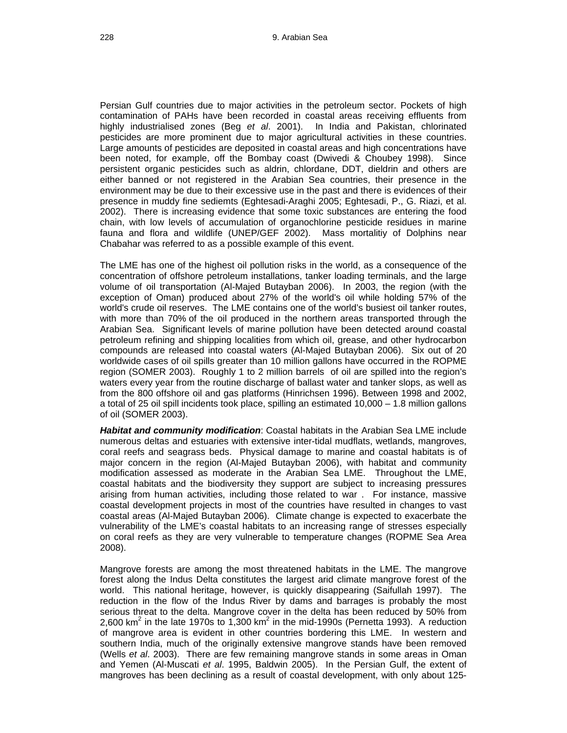Persian Gulf countries due to major activities in the petroleum sector. Pockets of high contamination of PAHs have been recorded in coastal areas receiving effluents from highly industrialised zones (Beg *et al*. 2001). In India and Pakistan, chlorinated pesticides are more prominent due to major agricultural activities in these countries. Large amounts of pesticides are deposited in coastal areas and high concentrations have been noted, for example, off the Bombay coast (Dwivedi & Choubey 1998). Since persistent organic pesticides such as aldrin, chlordane, DDT, dieldrin and others are either banned or not registered in the Arabian Sea countries, their presence in the environment may be due to their excessive use in the past and there is evidences of their presence in muddy fine sediemts (Eghtesadi-Araghi 2005; Eghtesadi, P., G. Riazi, et al. 2002). There is increasing evidence that some toxic substances are entering the food chain, with low levels of accumulation of organochlorine pesticide residues in marine fauna and flora and wildlife (UNEP/GEF 2002). Mass mortalitiy of Dolphins near Chabahar was referred to as a possible example of this event.

The LME has one of the highest oil pollution risks in the world, as a consequence of the concentration of offshore petroleum installations, tanker loading terminals, and the large volume of oil transportation (Al-Majed Butayban 2006). In 2003, the region (with the exception of Oman) produced about 27% of the world's oil while holding 57% of the world's crude oil reserves. The LME contains one of the world's busiest oil tanker routes, with more than 70% of the oil produced in the northern areas transported through the Arabian Sea. Significant levels of marine pollution have been detected around coastal petroleum refining and shipping localities from which oil, grease, and other hydrocarbon compounds are released into coastal waters (Al-Majed Butayban 2006). Six out of 20 worldwide cases of oil spills greater than 10 million gallons have occurred in the ROPME region (SOMER 2003). Roughly 1 to 2 million barrels of oil are spilled into the region's waters every year from the routine discharge of ballast water and tanker slops, as well as from the 800 offshore oil and gas platforms (Hinrichsen 1996). Between 1998 and 2002, a total of 25 oil spill incidents took place, spilling an estimated 10,000 – 1.8 million gallons of oil (SOMER 2003).

*Habitat and community modification*: Coastal habitats in the Arabian Sea LME include numerous deltas and estuaries with extensive inter-tidal mudflats, wetlands, mangroves, coral reefs and seagrass beds. Physical damage to marine and coastal habitats is of major concern in the region (Al-Majed Butayban 2006), with habitat and community modification assessed as moderate in the Arabian Sea LME. Throughout the LME, coastal habitats and the biodiversity they support are subject to increasing pressures arising from human activities, including those related to war . For instance, massive coastal development projects in most of the countries have resulted in changes to vast coastal areas (Al-Majed Butayban 2006). Climate change is expected to exacerbate the vulnerability of the LME's coastal habitats to an increasing range of stresses especially on coral reefs as they are very vulnerable to temperature changes (ROPME Sea Area 2008).

Mangrove forests are among the most threatened habitats in the LME. The mangrove forest along the Indus Delta constitutes the largest arid climate mangrove forest of the world. This national heritage, however, is quickly disappearing (Saifullah 1997). The reduction in the flow of the Indus River by dams and barrages is probably the most serious threat to the delta. Mangrove cover in the delta has been reduced by 50% from 2,600 km<sup>2</sup> in the late 1970s to 1,300 km<sup>2</sup> in the mid-1990s (Pernetta 1993). A reduction of mangrove area is evident in other countries bordering this LME. In western and southern India, much of the originally extensive mangrove stands have been removed (Wells *et al*. 2003). There are few remaining mangrove stands in some areas in Oman and Yemen (Al-Muscati *et al*. 1995, Baldwin 2005). In the Persian Gulf, the extent of mangroves has been declining as a result of coastal development, with only about 125-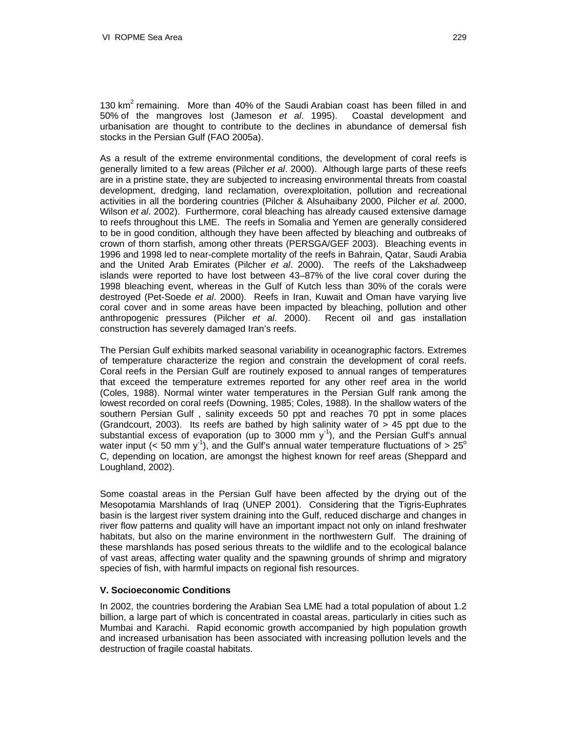130  $km^2$  remaining. More than 40% of the Saudi Arabian coast has been filled in and 50% of the mangroves lost (Jameson *et al*. 1995). Coastal development and urbanisation are thought to contribute to the declines in abundance of demersal fish stocks in the Persian Gulf (FAO 2005a).

As a result of the extreme environmental conditions, the development of coral reefs is generally limited to a few areas (Pilcher *et al*. 2000). Although large parts of these reefs are in a pristine state, they are subjected to increasing environmental threats from coastal development, dredging, land reclamation, overexploitation, pollution and recreational activities in all the bordering countries (Pilcher & Alsuhaibany 2000, Pilcher *et al*. 2000, Wilson *et al*. 2002). Furthermore, coral bleaching has already caused extensive damage to reefs throughout this LME. The reefs in Somalia and Yemen are generally considered to be in good condition, although they have been affected by bleaching and outbreaks of crown of thorn starfish, among other threats (PERSGA/GEF 2003). Bleaching events in 1996 and 1998 led to near-complete mortality of the reefs in Bahrain, Qatar, Saudi Arabia and the United Arab Emirates (Pilcher *et al*. 2000). The reefs of the Lakshadweep islands were reported to have lost between 43–87% of the live coral cover during the 1998 bleaching event, whereas in the Gulf of Kutch less than 30% of the corals were destroyed (Pet-Soede *et al*. 2000). Reefs in Iran, Kuwait and Oman have varying live coral cover and in some areas have been impacted by bleaching, pollution and other anthropogenic pressures (Pilcher *et al*. 2000). Recent oil and gas installation construction has severely damaged Iran's reefs.

The Persian Gulf exhibits marked seasonal variability in oceanographic factors. Extremes of temperature characterize the region and constrain the development of coral reefs. Coral reefs in the Persian Gulf are routinely exposed to annual ranges of temperatures that exceed the temperature extremes reported for any other reef area in the world (Coles, 1988). Normal winter water temperatures in the Persian Gulf rank among the lowest recorded on coral reefs (Downing, 1985; Coles, 1988). In the shallow waters of the southern Persian Gulf , salinity exceeds 50 ppt and reaches 70 ppt in some places (Grandcourt, 2003). Its reefs are bathed by high salinity water of > 45 ppt due to the substantial excess of evaporation (up to  $3000$  mm  $y<sup>-1</sup>$ ), and the Persian Gulf's annual water input (< 50 mm  $y^{-1}$ ), and the Gulf's annual water temperature fluctuations of > 25<sup>o</sup> C, depending on location, are amongst the highest known for reef areas (Sheppard and Loughland, 2002).

Some coastal areas in the Persian Gulf have been affected by the drying out of the Mesopotamia Marshlands of Iraq (UNEP 2001). Considering that the Tigris-Euphrates basin is the largest river system draining into the Gulf, reduced discharge and changes in river flow patterns and quality will have an important impact not only on inland freshwater habitats, but also on the marine environment in the northwestern Gulf. The draining of these marshlands has posed serious threats to the wildlife and to the ecological balance of vast areas, affecting water quality and the spawning grounds of shrimp and migratory species of fish, with harmful impacts on regional fish resources.

#### **V. Socioeconomic Conditions**

In 2002, the countries bordering the Arabian Sea LME had a total population of about 1.2 billion, a large part of which is concentrated in coastal areas, particularly in cities such as Mumbai and Karachi. Rapid economic growth accompanied by high population growth and increased urbanisation has been associated with increasing pollution levels and the destruction of fragile coastal habitats.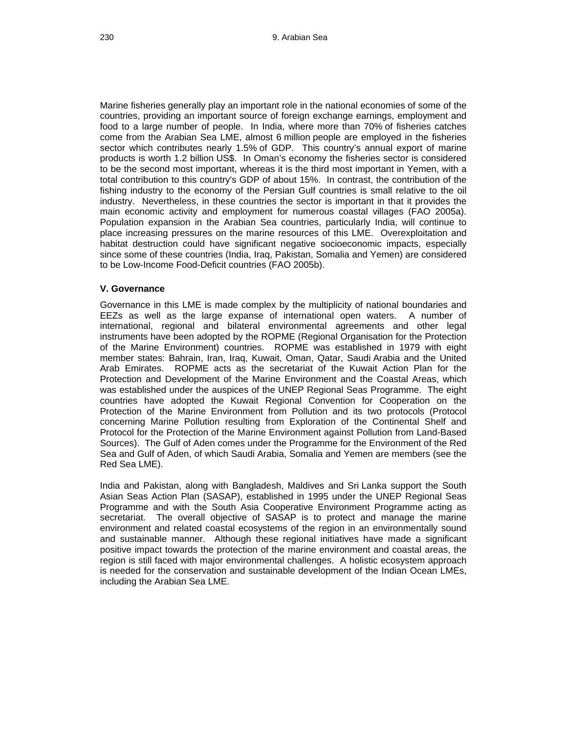Marine fisheries generally play an important role in the national economies of some of the countries, providing an important source of foreign exchange earnings, employment and food to a large number of people. In India, where more than 70% of fisheries catches come from the Arabian Sea LME, almost 6 million people are employed in the fisheries sector which contributes nearly 1.5% of GDP. This country's annual export of marine products is worth 1.2 billion US\$. In Oman's economy the fisheries sector is considered to be the second most important, whereas it is the third most important in Yemen, with a total contribution to this country's GDP of about 15%. In contrast, the contribution of the fishing industry to the economy of the Persian Gulf countries is small relative to the oil industry. Nevertheless, in these countries the sector is important in that it provides the main economic activity and employment for numerous coastal villages (FAO 2005a). Population expansion in the Arabian Sea countries, particularly India, will continue to place increasing pressures on the marine resources of this LME. Overexploitation and habitat destruction could have significant negative socioeconomic impacts, especially since some of these countries (India, Iraq, Pakistan, Somalia and Yemen) are considered to be Low-Income Food-Deficit countries (FAO 2005b).

## **V. Governance**

Governance in this LME is made complex by the multiplicity of national boundaries and EEZs as well as the large expanse of international open waters. A number of international, regional and bilateral environmental agreements and other legal instruments have been adopted by the ROPME (Regional Organisation for the Protection of the Marine Environment) countries. ROPME was established in 1979 with eight member states: Bahrain, Iran, Iraq, Kuwait, Oman, Qatar, Saudi Arabia and the United Arab Emirates. ROPME acts as the secretariat of the Kuwait Action Plan for the Protection and Development of the Marine Environment and the Coastal Areas, which was established under the auspices of the UNEP Regional Seas Programme. The eight countries have adopted the Kuwait Regional Convention for Cooperation on the Protection of the Marine Environment from Pollution and its two protocols (Protocol concerning Marine Pollution resulting from Exploration of the Continental Shelf and Protocol for the Protection of the Marine Environment against Pollution from Land-Based Sources). The Gulf of Aden comes under the Programme for the Environment of the Red Sea and Gulf of Aden, of which Saudi Arabia, Somalia and Yemen are members (see the Red Sea LME).

India and Pakistan, along with Bangladesh, Maldives and Sri Lanka support the South Asian Seas Action Plan (SASAP), established in 1995 under the UNEP Regional Seas Programme and with the South Asia Cooperative Environment Programme acting as secretariat. The overall objective of SASAP is to protect and manage the marine environment and related coastal ecosystems of the region in an environmentally sound and sustainable manner. Although these regional initiatives have made a significant positive impact towards the protection of the marine environment and coastal areas, the region is still faced with major environmental challenges. A holistic ecosystem approach is needed for the conservation and sustainable development of the Indian Ocean LMEs, including the Arabian Sea LME.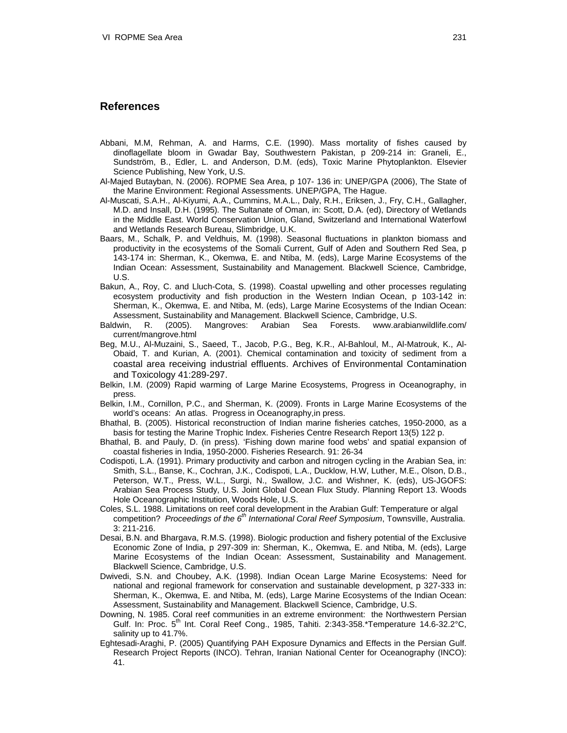# **References**

- Abbani, M.M, Rehman, A. and Harms, C.E. (1990). Mass mortality of fishes caused by dinoflagellate bloom in Gwadar Bay, Southwestern Pakistan, p 209-214 in: Graneli, E., Sundström, B., Edler, L. and Anderson, D.M. (eds), Toxic Marine Phytoplankton. Elsevier Science Publishing, New York, U.S.
- Al-Majed Butayban, N. (2006). ROPME Sea Area, p 107- 136 in: UNEP/GPA (2006), The State of the Marine Environment: Regional Assessments. UNEP/GPA, The Hague.
- Al-Muscati, S.A.H., Al-Kiyumi, A.A., Cummins, M.A.L., Daly, R.H., Eriksen, J., Fry, C.H., Gallagher, M.D. and Insall, D.H. (1995). The Sultanate of Oman, in: Scott, D.A. (ed), Directory of Wetlands in the Middle East. World Conservation Union, Gland, Switzerland and International Waterfowl and Wetlands Research Bureau, Slimbridge, U.K.
- Baars, M., Schalk, P. and Veldhuis, M. (1998). Seasonal fluctuations in plankton biomass and productivity in the ecosystems of the Somali Current, Gulf of Aden and Southern Red Sea, p 143-174 in: Sherman, K., Okemwa, E. and Ntiba, M. (eds), Large Marine Ecosystems of the Indian Ocean: Assessment, Sustainability and Management. Blackwell Science, Cambridge, U.S.
- Bakun, A., Roy, C. and Lluch-Cota, S. (1998). Coastal upwelling and other processes regulating ecosystem productivity and fish production in the Western Indian Ocean, p 103-142 in: Sherman, K., Okemwa, E. and Ntiba, M. (eds), Large Marine Ecosystems of the Indian Ocean: Assessment, Sustainability and Management. Blackwell Science, Cambridge, U.S.
- Baldwin, R. (2005). Mangroves: Arabian Sea Forests. www.arabianwildlife.com/ current/mangrove.html
- Beg, M.U., Al-Muzaini, S., Saeed, T., Jacob, P.G., Beg, K.R., Al-Bahloul, M., Al-Matrouk, K., Al-Obaid, T. and Kurian, A. (2001). Chemical contamination and toxicity of sediment from a coastal area receiving industrial effluents. Archives of Environmental Contamination and Toxicology 41:289-297.
- Belkin, I.M. (2009) Rapid warming of Large Marine Ecosystems, Progress in Oceanography, in press.
- Belkin, I.M., Cornillon, P.C., and Sherman, K. (2009). Fronts in Large Marine Ecosystems of the world's oceans: An atlas. Progress in Oceanography,in press.
- Bhathal, B. (2005). Historical reconstruction of Indian marine fisheries catches, 1950-2000, as a basis for testing the Marine Trophic Index. Fisheries Centre Research Report 13(5) 122 p.
- Bhathal, B. and Pauly, D. (in press). 'Fishing down marine food webs' and spatial expansion of coastal fisheries in India, 1950-2000. Fisheries Research. 91: 26-34
- Codispoti, L.A. (1991). Primary productivity and carbon and nitrogen cycling in the Arabian Sea, in: Smith, S.L., Banse, K., Cochran, J.K., Codispoti, L.A., Ducklow, H.W, Luther, M.E., Olson, D.B., Peterson, W.T., Press, W.L., Surgi, N., Swallow, J.C. and Wishner, K. (eds), US-JGOFS: Arabian Sea Process Study, U.S. Joint Global Ocean Flux Study. Planning Report 13. Woods Hole Oceanographic Institution, Woods Hole, U.S.
- Coles, S.L. 1988. Limitations on reef coral development in the Arabian Gulf: Temperature or algal competition? *Proceedings of the 6th International Coral Reef Symposium*, Townsville, Australia. 3: 211-216.
- Desai, B.N. and Bhargava, R.M.S. (1998). Biologic production and fishery potential of the Exclusive Economic Zone of India, p 297-309 in: Sherman, K., Okemwa, E. and Ntiba, M. (eds), Large Marine Ecosystems of the Indian Ocean: Assessment, Sustainability and Management. Blackwell Science, Cambridge, U.S.
- Dwivedi, S.N. and Choubey, A.K. (1998). Indian Ocean Large Marine Ecosystems: Need for national and regional framework for conservation and sustainable development, p 327-333 in: Sherman, K., Okemwa, E. and Ntiba, M. (eds), Large Marine Ecosystems of the Indian Ocean: Assessment, Sustainability and Management. Blackwell Science, Cambridge, U.S.
- Downing, N. 1985. Coral reef communities in an extreme environment: the Northwestern Persian Gulf. In: Proc. 5<sup>th</sup> Int. Coral Reef Cong., 1985, Tahiti. 2:343-358.\*Temperature 14.6-32.2°C, salinity up to 41.7%.
- Eghtesadi-Araghi, P. (2005) Quantifying PAH Exposure Dynamics and Effects in the Persian Gulf. Research Project Reports (INCO). Tehran, Iranian National Center for Oceanography (INCO): 41.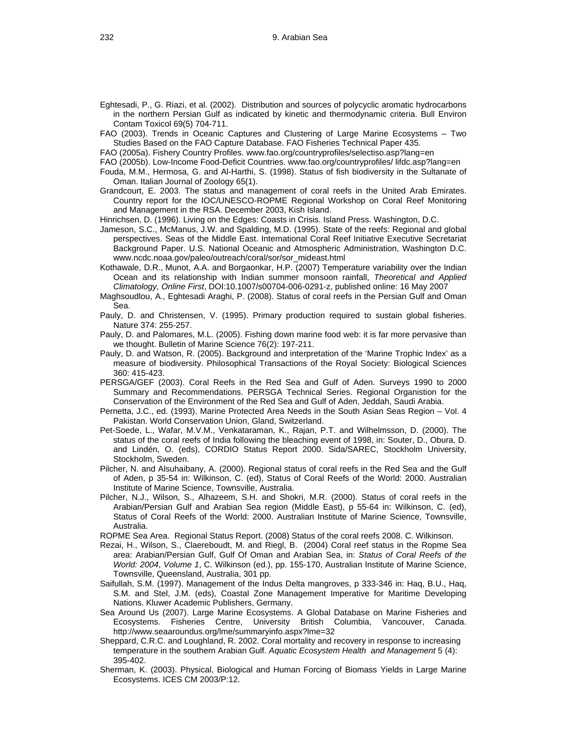- Eghtesadi, P., G. Riazi, et al. (2002). Distribution and sources of polycyclic aromatic hydrocarbons in the northern Persian Gulf as indicated by kinetic and thermodynamic criteria. Bull Environ Contam Toxicol 69(5) 704-711.
- FAO (2003). Trends in Oceanic Captures and Clustering of Large Marine Ecosystems Two Studies Based on the FAO Capture Database. FAO Fisheries Technical Paper 435.
- FAO (2005a). Fishery Country Profiles. www.fao.org/countryprofiles/selectiso.asp?lang=en
- FAO (2005b). Low-Income Food-Deficit Countries. [www.fao.org/countryprofiles/](http://www.fao.org/countryprofiles/) lifdc.asp?lang=en
- Fouda, M.M., Hermosa, G. and Al-Harthi, S. (1998). Status of fish biodiversity in the Sultanate of Oman. Italian Journal of Zoology 65(1).
- Grandcourt, E. 2003. The status and management of coral reefs in the United Arab Emirates. Country report for the IOC/UNESCO-ROPME Regional Workshop on Coral Reef Monitoring and Management in the RSA. December 2003, Kish Island.

Hinrichsen, D. (1996). Living on the Edges: Coasts in Crisis. Island Press. Washington, D.C.

- Jameson, S.C., McManus, J.W. and Spalding, M.D. (1995). State of the reefs: Regional and global perspectives. Seas of the Middle East. International Coral Reef Initiative Executive Secretariat Background Paper. U.S. National Oceanic and Atmospheric Administration, Washington D.C. www.ncdc.noaa.gov/paleo/outreach/coral/sor/sor\_mideast.html
- Kothawale, D.R., Munot, A.A. and Borgaonkar, H.P. (2007) Temperature variability over the Indian Ocean and its relationship with Indian summer monsoon rainfall, *Theoretical and Applied Climatology, Online First*, DOI:10.1007/s00704-006-0291-z, published online: 16 May 2007
- Maghsoudlou, A., Eghtesadi Araghi, P. (2008). Status of coral reefs in the Persian Gulf and Oman Sea.
- Pauly, D. and Christensen, V. (1995). Primary production required to sustain global fisheries. Nature 374: 255-257.
- Pauly, D. and Palomares, M.L. (2005). Fishing down marine food web: it is far more pervasive than we thought. Bulletin of Marine Science 76(2): 197-211.
- Pauly, D. and Watson, R. (2005). Background and interpretation of the 'Marine Trophic Index' as a measure of biodiversity. Philosophical Transactions of the Royal Society: Biological Sciences 360: 415-423.
- PERSGA/GEF (2003). Coral Reefs in the Red Sea and Gulf of Aden. Surveys 1990 to 2000 Summary and Recommendations. PERSGA Technical Series. Regional Organistion for the Conservation of the Environment of the Red Sea and Gulf of Aden, Jeddah, Saudi Arabia.
- Pernetta, J.C., ed. (1993). Marine Protected Area Needs in the South Asian Seas Region Vol. 4 Pakistan. World Conservation Union, Gland, Switzerland.
- Pet-Soede, L., Wafar, M.V.M., Venkataraman, K., Rajan, P.T. and Wilhelmsson, D. (2000). The status of the coral reefs of India following the bleaching event of 1998, in: Souter, D., Obura, D. and Lindén, O. (eds), CORDIO Status Report 2000. Sida/SAREC, Stockholm University, Stockholm, Sweden.
- Pilcher, N. and Alsuhaibany, A. (2000). Regional status of coral reefs in the Red Sea and the Gulf of Aden, p 35-54 in: Wilkinson, C. (ed), Status of Coral Reefs of the World: 2000. Australian Institute of Marine Science, Townsville, Australia.
- Pilcher, N.J., Wilson, S., Alhazeem, S.H. and Shokri, M.R. (2000). Status of coral reefs in the Arabian/Persian Gulf and Arabian Sea region (Middle East), p 55-64 in: Wilkinson, C. (ed), Status of Coral Reefs of the World: 2000. Australian Institute of Marine Science, Townsville, Australia.
- ROPME Sea Area. Regional Status Report. (2008) Status of the coral reefs 2008. C. Wilkinson.
- Rezai, H., Wilson, S., Claereboudt, M. and Riegl, B. (2004) Coral reef status in the Ropme Sea area: Arabian/Persian Gulf, Gulf Of Oman and Arabian Sea, in: *Status of Coral Reefs of the World: 2004*, *Volume 1*, C. Wilkinson (ed.), pp. 155-170, Australian Institute of Marine Science, Townsville, Queensland, Australia, 301 pp.
- Saifullah, S.M. (1997). Management of the Indus Delta mangroves, p 333-346 in: Haq, B.U., Haq, S.M. and Stel, J.M. (eds), Coastal Zone Management Imperative for Maritime Developing Nations. Kluwer Academic Publishers, Germany.
- Sea Around Us (2007). Large Marine Ecosystems. A Global Database on Marine Fisheries and Ecosystems. Fisheries Centre, University British Columbia, Vancouver, Canada. http://www.seaaroundus.org/lme/summaryinfo.aspx?lme=32
- Sheppard, C.R.C. and Loughland, R. 2002. Coral mortality and recovery in response to increasing temperature in the southern Arabian Gulf. *Aquatic Ecosystem Health and Management* 5 (4): 395-402.
- Sherman, K. (2003). Physical, Biological and Human Forcing of Biomass Yields in Large Marine Ecosystems. ICES CM 2003/P:12.